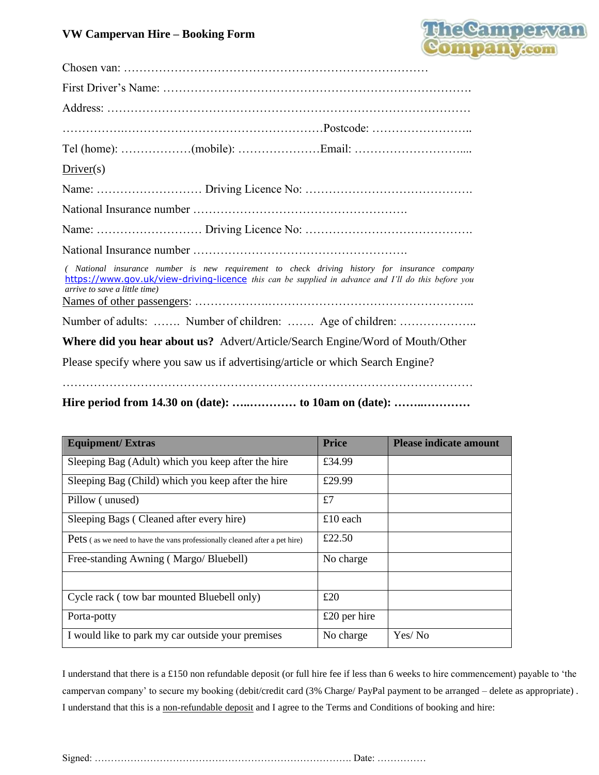#### **VW Campervan Hire – Booking Form**



| $Direct(s)$                                                                                                                                                                                                                           |
|---------------------------------------------------------------------------------------------------------------------------------------------------------------------------------------------------------------------------------------|
|                                                                                                                                                                                                                                       |
|                                                                                                                                                                                                                                       |
|                                                                                                                                                                                                                                       |
|                                                                                                                                                                                                                                       |
| ( National insurance number is new requirement to check driving history for insurance company<br>https://www.gov.uk/view-driving-licence this can be supplied in advance and I'll do this before you<br>arrive to save a little time) |
| Number of adults:  Number of children:  Age of children:                                                                                                                                                                              |
| Where did you hear about us? Advert/Article/Search Engine/Word of Mouth/Other                                                                                                                                                         |
| Please specify where you saw us if advertising/article or which Search Engine?                                                                                                                                                        |
|                                                                                                                                                                                                                                       |

**Hire period from 14.30 on (date): …..………… to 10am on (date): ……..…………**

| <b>Equipment/Extras</b>                                                           | <b>Price</b>   | <b>Please indicate amount</b> |
|-----------------------------------------------------------------------------------|----------------|-------------------------------|
| Sleeping Bag (Adult) which you keep after the hire                                | £34.99         |                               |
| Sleeping Bag (Child) which you keep after the hire                                | £29.99         |                               |
| Pillow (unused)                                                                   | £7             |                               |
| Sleeping Bags (Cleaned after every hire)                                          | £10 each       |                               |
| <b>Pets</b> (as we need to have the vans professionally cleaned after a pet hire) | £22.50         |                               |
| Free-standing Awning (Margo/Bluebell)                                             | No charge      |                               |
|                                                                                   |                |                               |
| Cycle rack (tow bar mounted Bluebell only)                                        | £20            |                               |
| Porta-potty                                                                       | $£20$ per hire |                               |
| I would like to park my car outside your premises                                 | No charge      | Yes/No                        |

I understand that there is a £150 non refundable deposit (or full hire fee if less than 6 weeks to hire commencement) payable to 'the campervan company' to secure my booking (debit/credit card (3% Charge/ PayPal payment to be arranged – delete as appropriate) . I understand that this is a non-refundable deposit and I agree to the Terms and Conditions of booking and hire:

Signed: ……………………………………………………………………. Date: ……………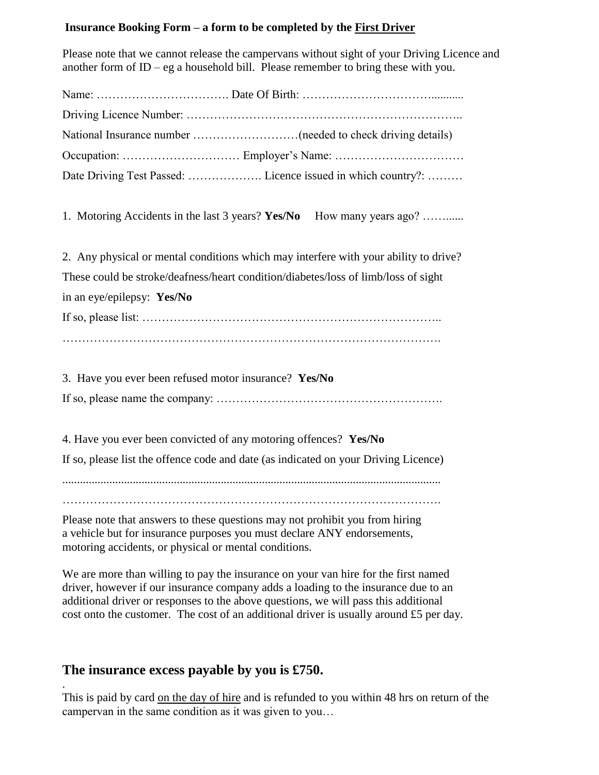## **Insurance Booking Form – a form to be completed by the First Driver**

Please note that we cannot release the campervans without sight of your Driving Licence and another form of  $ID - eg$  a household bill. Please remember to bring these with you.

| Date Driving Test Passed:  Licence issued in which country?:                         |
|--------------------------------------------------------------------------------------|
| 1. Motoring Accidents in the last 3 years? Yes/No How many years ago?                |
| 2. Any physical or mental conditions which may interfere with your ability to drive? |
| These could be stroke/deafness/heart condition/diabetes/loss of limb/loss of sight   |
| in an eye/epilepsy: Yes/No                                                           |
|                                                                                      |
|                                                                                      |
| 3. Have you ever been refused motor insurance? Yes/No                                |
| 4. Have you ever been convicted of any motoring offences? Yes/No                     |
| If so, please list the offence code and date (as indicated on your Driving Licence)  |

.................................................................................................................................

…………………………………………………………………………………….

Please note that answers to these questions may not prohibit you from hiring a vehicle but for insurance purposes you must declare ANY endorsements, motoring accidents, or physical or mental conditions.

We are more than willing to pay the insurance on your van hire for the first named driver, however if our insurance company adds a loading to the insurance due to an additional driver or responses to the above questions, we will pass this additional cost onto the customer. The cost of an additional driver is usually around £5 per day.

# **The insurance excess payable by you is £750.**

. This is paid by card on the day of hire and is refunded to you within 48 hrs on return of the campervan in the same condition as it was given to you…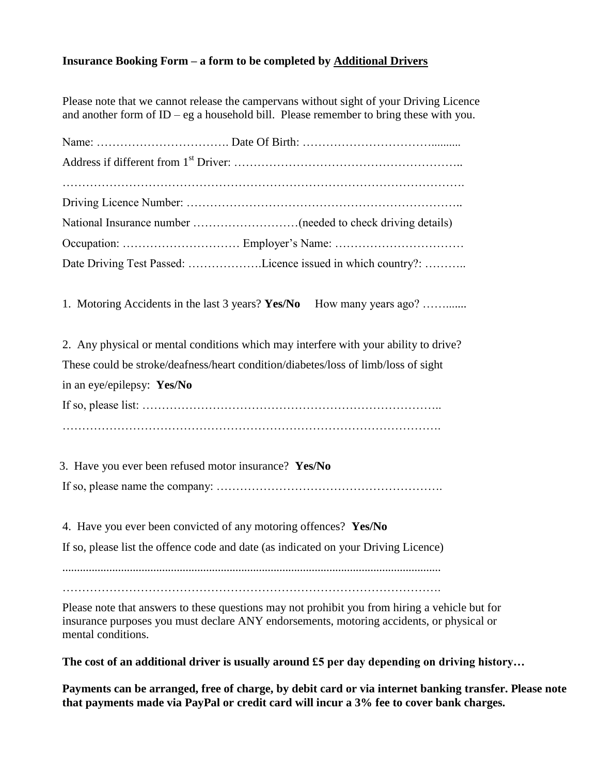## **Insurance Booking Form – a form to be completed by Additional Drivers**

Please note that we cannot release the campervans without sight of your Driving Licence and another form of  $ID - eg$  a household bill. Please remember to bring these with you.

|                            | Date Driving Test Passed: Licence issued in which country?:                          |
|----------------------------|--------------------------------------------------------------------------------------|
|                            | 1. Motoring Accidents in the last 3 years? Yes/No<br>How many years ago?             |
|                            | 2. Any physical or mental conditions which may interfere with your ability to drive? |
|                            | These could be stroke/deafness/heart condition/diabetes/loss of limb/loss of sight   |
| in an eye/epilepsy: Yes/No |                                                                                      |
|                            |                                                                                      |
|                            |                                                                                      |
|                            | 3. Have you ever been refused motor insurance? Yes/No                                |
|                            |                                                                                      |
|                            | 4. Have you ever been convicted of any motoring offences? Yes/No                     |
|                            |                                                                                      |

**The cost of an additional driver is usually around £5 per day depending on driving history…**

**Payments can be arranged, free of charge, by debit card or via internet banking transfer. Please note that payments made via PayPal or credit card will incur a 3% fee to cover bank charges.**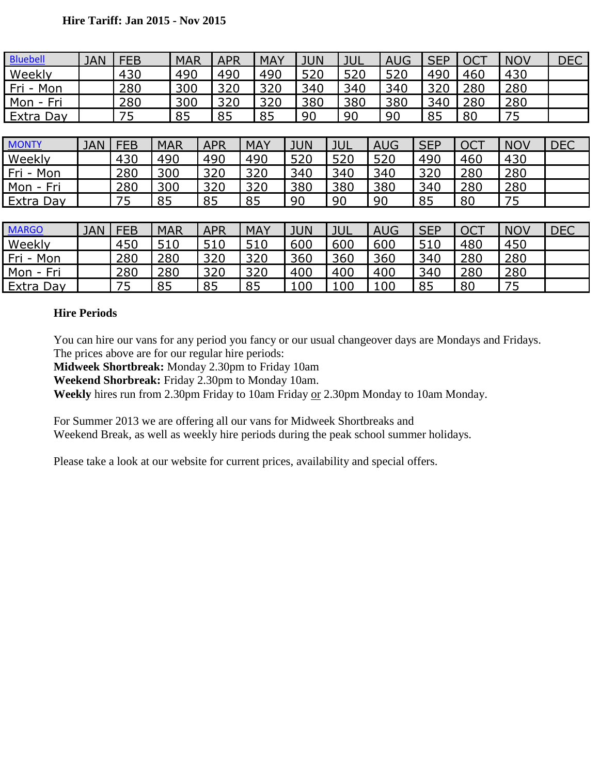| <b>Bluebell</b> | <b>JAN</b> | <b>FEB</b> |            | <b>MAR</b> | <b>APR</b> |     | <b>MAY</b> |            | <b>JUN</b> |            | JUL        | <b>AUG</b> | <b>SEP</b> |            | <b>OCT</b> | <b>NOV</b> | <b>DEC</b> |
|-----------------|------------|------------|------------|------------|------------|-----|------------|------------|------------|------------|------------|------------|------------|------------|------------|------------|------------|
| Weekly          |            | 430        |            | 490        | 490        |     | 490        | 520        |            | 520        |            | 520        |            | 490        | 460        | 430        |            |
| Fri - Mon       |            | 280        |            | 300        | 320        |     | 320        |            | 340        | 340        |            | 340        |            | 320        | 280        | 280        |            |
| Mon - Fri       |            | 280        |            | 300        | 320        |     | 320        |            | 380        | 380        |            | 380        |            | 340        | 280        | 280        |            |
| Extra Day       |            | 75         |            | 85         | 85         |     | 85         |            | 90         | 90         |            | 90         | 85         |            | 80         | 75         |            |
|                 |            |            |            |            |            |     |            |            |            |            |            |            |            |            |            |            |            |
| <b>MONTY</b>    | <b>JAN</b> | <b>FEB</b> | <b>MAR</b> |            | <b>APR</b> |     | <b>MAY</b> | <b>JUN</b> |            | <b>JUL</b> |            | <b>AUG</b> | <b>SEP</b> |            | <b>OCT</b> | <b>NOV</b> | <b>DEC</b> |
| Weekly          |            | 430        | 490        |            | 490        |     | 490        | 520        |            | 520        |            | 520        | 490        |            | 460        | 430        |            |
| Fri - Mon       |            | 280        | 300        |            | 320        |     | 320        | 340        |            | 340        |            | 340        | 320        |            | 280        | 280        |            |
| Mon - Fri       |            | 280        | 300        |            | 320        | 320 |            | 380        |            | 380        |            | 380<br>340 |            |            | 280        | 280        |            |
| Extra Day       |            | 75         | 85         |            | 85<br>85   |     |            | 90         |            | 90         |            | 85<br>90   |            |            | 80         | 75         |            |
|                 |            |            |            |            |            |     |            |            |            |            |            |            |            |            |            |            |            |
| <b>MARGO</b>    | <b>JAN</b> | <b>FEB</b> | <b>MAR</b> |            | <b>APR</b> |     | <b>MAY</b> | <b>JUN</b> | <b>JUL</b> |            |            | <b>AUG</b> |            | <b>SEP</b> | <b>OCT</b> | <b>NOV</b> | <b>DEC</b> |
| Weekly          |            | 450        | 510        |            | 510        |     | 510        | 600        |            |            | 600<br>600 |            | 510        |            | 480        | 450        |            |
| Fri - Mon       |            | 280        | 280        |            | 320        |     | 320        | 360        |            | 360        |            |            | 360<br>340 |            | 280        | 280        |            |
| Mon - Fri       |            | 280        | 280        |            | 320        |     | 320        | 400        |            | 400        |            | 400        | 340        |            | 280        | 280        |            |
| Extra Day       |            | 75         | 85         |            | 85         | 85  |            | 100        |            | 100        |            | 100        | 85         |            | 80         | 75         |            |

### **Hire Periods**

You can hire our vans for any period you fancy or our usual changeover days are Mondays and Fridays. The prices above are for our regular hire periods:

**Midweek Shortbreak:** Monday 2.30pm to Friday 10am

**Weekend Shorbreak:** Friday 2.30pm to Monday 10am.

**Weekly** hires run from 2.30pm Friday to 10am Friday or 2.30pm Monday to 10am Monday.

For Summer 2013 we are offering all our vans for Midweek Shortbreaks and Weekend Break, as well as weekly hire periods during the peak school summer holidays.

Please take a look at our website for current prices, availability and special offers.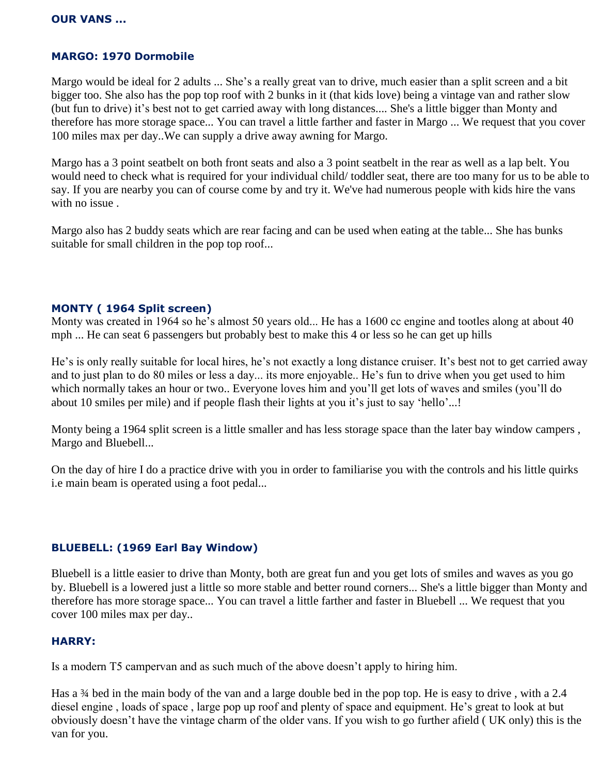## **MARGO: 1970 Dormobile**

Margo would be ideal for 2 adults ... She's a really great van to drive, much easier than a split screen and a bit bigger too. She also has the pop top roof with 2 bunks in it (that kids love) being a vintage van and rather slow (but fun to drive) it's best not to get carried away with long distances.... She's a little bigger than Monty and therefore has more storage space... You can travel a little farther and faster in Margo ... We request that you cover 100 miles max per day..We can supply a drive away awning for Margo.

Margo has a 3 point seatbelt on both front seats and also a 3 point seatbelt in the rear as well as a lap belt. You would need to check what is required for your individual child/ toddler seat, there are too many for us to be able to say. If you are nearby you can of course come by and try it. We've had numerous people with kids hire the vans with no issue .

Margo also has 2 buddy seats which are rear facing and can be used when eating at the table... She has bunks suitable for small children in the pop top roof...

#### **MONTY ( 1964 Split screen)**

Monty was created in 1964 so he's almost 50 years old... He has a 1600 cc engine and tootles along at about 40 mph ... He can seat 6 passengers but probably best to make this 4 or less so he can get up hills

He's is only really suitable for local hires, he's not exactly a long distance cruiser. It's best not to get carried away and to just plan to do 80 miles or less a day... its more enjoyable.. He's fun to drive when you get used to him which normally takes an hour or two.. Everyone loves him and you'll get lots of waves and smiles (you'll do about 10 smiles per mile) and if people flash their lights at you it's just to say 'hello'...!

Monty being a 1964 split screen is a little smaller and has less storage space than the later bay window campers , Margo and Bluebell...

On the day of hire I do a practice drive with you in order to familiarise you with the controls and his little quirks i.e main beam is operated using a foot pedal...

#### **BLUEBELL: (1969 Earl Bay Window)**

Bluebell is a little easier to drive than Monty, both are great fun and you get lots of smiles and waves as you go by. Bluebell is a lowered just a little so more stable and better round corners... She's a little bigger than Monty and therefore has more storage space... You can travel a little farther and faster in Bluebell ... We request that you cover 100 miles max per day..

#### **HARRY:**

Is a modern T5 campervan and as such much of the above doesn't apply to hiring him.

Has a <sup>3</sup>/4 bed in the main body of the van and a large double bed in the pop top. He is easy to drive, with a 2.4 diesel engine , loads of space , large pop up roof and plenty of space and equipment. He's great to look at but obviously doesn't have the vintage charm of the older vans. If you wish to go further afield ( UK only) this is the van for you.